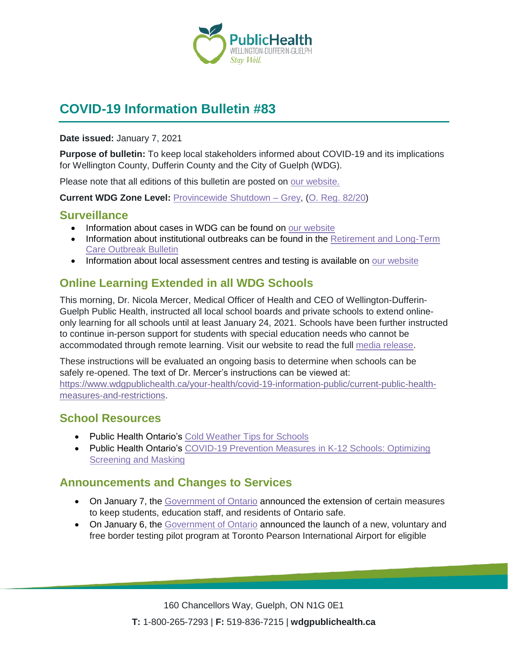

# **COVID-19 Information Bulletin #83**

**Date issued:** January 7, 2021

**Purpose of bulletin:** To keep local stakeholders informed about COVID-19 and its implications for Wellington County, Dufferin County and the City of Guelph (WDG).

Please note that all editions of this bulletin are posted on [our website.](https://www.wdgpublichealth.ca/your-health/covid-19-information-workplaces-and-living-spaces/community-stakeholder-bulletins)

**Current WDG Zone Level:** [Provincewide Shutdown –](https://www.ontario.ca/page/covid-19-provincewide-shutdown) Grey, (O. Reg. [82/20\)](https://www.ontario.ca/laws/regulation/200082)

### **Surveillance**

- Information about cases in WDG can be found on [our website](https://wdgpublichealth.ca/your-health/covid-19-information-public/status-cases-wdg)
- Information about institutional outbreaks can be found in the Retirement and Long-Term [Care Outbreak Bulletin](https://wdgpublichealth.ca/node/1542)
- Information about local assessment centres and testing is available on [our website](https://www.wdgpublichealth.ca/your-health/covid-19-information-public/assessment-centres-wdg)

# **Online Learning Extended in all WDG Schools**

This morning, Dr. Nicola Mercer, Medical Officer of Health and CEO of Wellington-Dufferin-Guelph Public Health, instructed all local school boards and private schools to extend onlineonly learning for all schools until at least January 24, 2021. Schools have been further instructed to continue in-person support for students with special education needs who cannot be accommodated through remote learning. Visit our website to read the full [media release.](https://www.wdgpublichealth.ca/news/online-learning-extended-all-wellington-dufferin-guelph-schools)

These instructions will be evaluated an ongoing basis to determine when schools can be safely re-opened. The text of Dr. Mercer's instructions can be viewed at: [https://www.wdgpublichealth.ca/your-health/covid-19-information-public/current-public-health](https://www.wdgpublichealth.ca/your-health/covid-19-information-public/current-public-health-measures-and-restrictions)[measures-and-restrictions](https://www.wdgpublichealth.ca/your-health/covid-19-information-public/current-public-health-measures-and-restrictions).

### **School Resources**

- Public Health Ontario's [Cold Weather Tips for Schools](https://www.publichealthontario.ca/-/media/documents/ncov/sch/2020/12/factsheet-covid-19-cold-weather-tips-schools.pdf?la=en)
- Public Health Ontario's [COVID-19 Prevention Measures in K-12 Schools: Optimizing](https://www.publichealthontario.ca/-/media/documents/ncov/sch/2020/12/covid-19-focus-on-optimizing-screening-and-masking.pdf?la=en)  [Screening and Masking](https://www.publichealthontario.ca/-/media/documents/ncov/sch/2020/12/covid-19-focus-on-optimizing-screening-and-masking.pdf?la=en)

# **Announcements and Changes to Services**

- On January 7, the [Government of Ontario](https://news.ontario.ca/en/release/59890/ontario-extends-teacher-led-online-learning-until-january-25-to-keep-students-and-staff-safe-in-sout) announced the extension of certain measures to keep students, education staff, and residents of Ontario safe.
- On January 6, the [Government of Ontario](https://news.ontario.ca/en/release/59877/ontario-launches-innovative-testing-program-at-pearson-airport) announced the launch of a new, voluntary and free border testing pilot program at Toronto Pearson International Airport for eligible